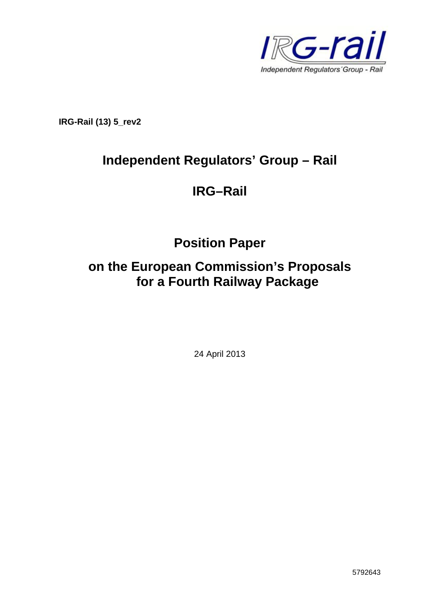

**IRG-Rail (13) 5\_rev2** 

# **Independent Regulators' Group – Rail**

## **IRG–Rail**

**Position Paper** 

# **on the European Commission's Proposals for a Fourth Railway Package**

24 April 2013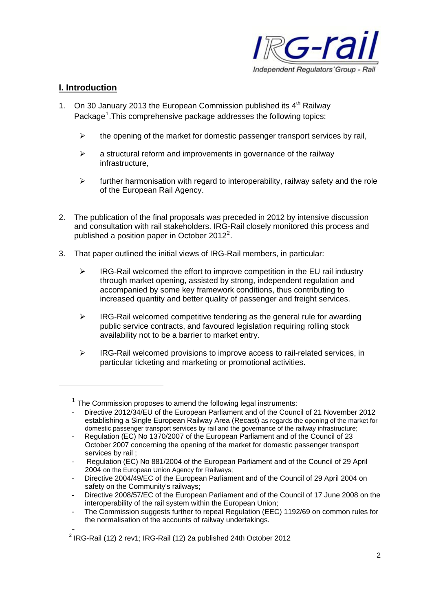

## **I. Introduction**

- 1. On 30 January 2013 the European Commission published its  $4<sup>th</sup>$  Railway Package<sup>[1](#page-1-0)</sup>. This comprehensive package addresses the following topics:
	- $\triangleright$  the opening of the market for domestic passenger transport services by rail.
	- $\triangleright$  a structural reform and improvements in governance of the railway infrastructure,
	- $\triangleright$  further harmonisation with regard to interoperability, railway safety and the role of the European Rail Agency.
- 2. The publication of the final proposals was preceded in 2012 by intensive discussion and consultation with rail stakeholders. IRG-Rail closely monitored this process and published a position paper in October [2](#page-1-1)012<sup>2</sup>.
- 3. That paper outlined the initial views of IRG-Rail members, in particular:
	- $\triangleright$  IRG-Rail welcomed the effort to improve competition in the EU rail industry through market opening, assisted by strong, independent regulation and accompanied by some key framework conditions, thus contributing to increased quantity and better quality of passenger and freight services.
	- $\triangleright$  IRG-Rail welcomed competitive tendering as the general rule for awarding public service contracts, and favoured legislation requiring rolling stock availability not to be a barrier to market entry.
	- ¾ IRG-Rail welcomed provisions to improve access to rail-related services, in particular ticketing and marketing or promotional activities.

<span id="page-1-0"></span> $1$  The Commission proposes to amend the following legal instruments:

<sup>-</sup> Directive 2012/34/EU of the European Parliament and of the Council of 21 November 2012 establishing a Single European Railway Area (Recast) as regards the opening of the market for domestic passenger transport services by rail and the governance of the railway infrastructure;

Regulation (EC) No 1370/2007 of the European Parliament and of the Council of 23 October 2007 concerning the opening of the market for domestic passenger transport services by rail ;

<sup>-</sup> Regulation (EC) No 881/2004 of the European Parliament and of the Council of 29 April 2004 on the European Union Agency for Railways;

Directive 2004/49/EC of the European Parliament and of the Council of 29 April 2004 on safety on the Community's railways;

<sup>-</sup> Directive 2008/57/EC of the European Parliament and of the Council of 17 June 2008 on the interoperability of the rail system within the European Union;

The Commission suggests further to repeal Regulation (EEC) 1192/69 on common rules for the normalisation of the accounts of railway undertakings.

<span id="page-1-1"></span>\_<br><sup>2</sup> IRG-Rail (12) 2 rev1; IRG-Rail (12) 2a published 24th October 2012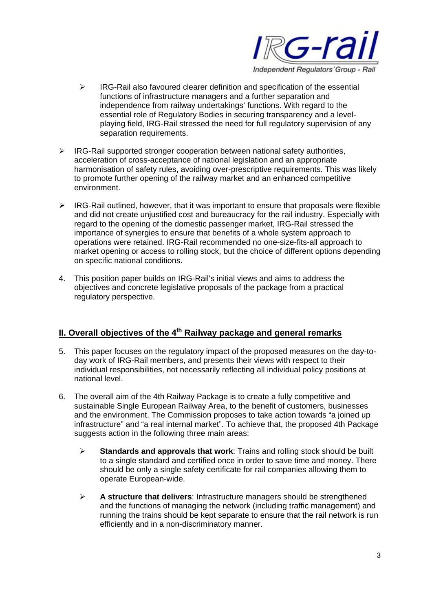

- $\triangleright$  IRG-Rail also favoured clearer definition and specification of the essential functions of infrastructure managers and a further separation and independence from railway undertakings' functions. With regard to the essential role of Regulatory Bodies in securing transparency and a levelplaying field, IRG-Rail stressed the need for full regulatory supervision of any separation requirements.
- $\triangleright$  IRG-Rail supported stronger cooperation between national safety authorities, acceleration of cross-acceptance of national legislation and an appropriate harmonisation of safety rules, avoiding over-prescriptive requirements. This was likely to promote further opening of the railway market and an enhanced competitive environment.
- $\triangleright$  IRG-Rail outlined, however, that it was important to ensure that proposals were flexible and did not create unjustified cost and bureaucracy for the rail industry. Especially with regard to the opening of the domestic passenger market, IRG-Rail stressed the importance of synergies to ensure that benefits of a whole system approach to operations were retained. IRG-Rail recommended no one-size-fits-all approach to market opening or access to rolling stock, but the choice of different options depending on specific national conditions.
- 4. This position paper builds on IRG-Rail's initial views and aims to address the objectives and concrete legislative proposals of the package from a practical regulatory perspective.

## **II. Overall objectives of the 4<sup>th</sup> Railway package and general remarks**

- 5. This paper focuses on the regulatory impact of the proposed measures on the day-today work of IRG-Rail members, and presents their views with respect to their individual responsibilities, not necessarily reflecting all individual policy positions at national level.
- 6. The overall aim of the 4th Railway Package is to create a fully competitive and sustainable Single European Railway Area, to the benefit of customers, businesses and the environment. The Commission proposes to take action towards "a joined up infrastructure" and "a real internal market". To achieve that, the proposed 4th Package suggests action in the following three main areas:
	- ¾ **Standards and approvals that work**: Trains and rolling stock should be built to a single standard and certified once in order to save time and money. There should be only a single safety certificate for rail companies allowing them to operate European-wide.
	- ¾ **A structure that delivers**: Infrastructure managers should be strengthened and the functions of managing the network (including traffic management) and running the trains should be kept separate to ensure that the rail network is run efficiently and in a non-discriminatory manner.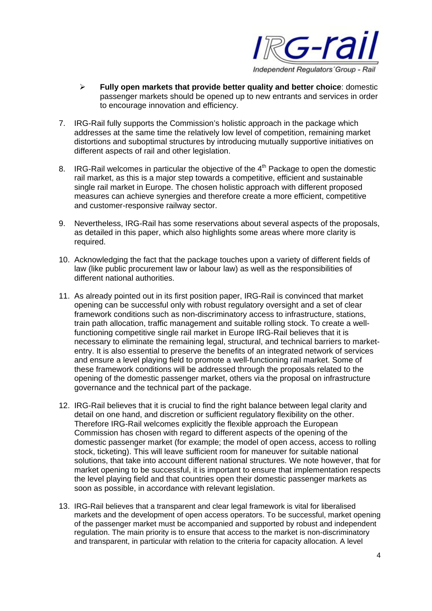

- ¾ **Fully open markets that provide better quality and better choice**: domestic passenger markets should be opened up to new entrants and services in order to encourage innovation and efficiency.
- 7. IRG-Rail fully supports the Commission's holistic approach in the package which addresses at the same time the relatively low level of competition, remaining market distortions and suboptimal structures by introducing mutually supportive initiatives on different aspects of rail and other legislation.
- 8. IRG-Rail welcomes in particular the objective of the 4<sup>th</sup> Package to open the domestic rail market, as this is a major step towards a competitive, efficient and sustainable single rail market in Europe. The chosen holistic approach with different proposed measures can achieve synergies and therefore create a more efficient, competitive and customer-responsive railway sector.
- 9. Nevertheless, IRG-Rail has some reservations about several aspects of the proposals, as detailed in this paper, which also highlights some areas where more clarity is required.
- 10. Acknowledging the fact that the package touches upon a variety of different fields of law (like public procurement law or labour law) as well as the responsibilities of different national authorities.
- 11. As already pointed out in its first position paper, IRG-Rail is convinced that market opening can be successful only with robust regulatory oversight and a set of clear framework conditions such as non-discriminatory access to infrastructure, stations, train path allocation, traffic management and suitable rolling stock. To create a wellfunctioning competitive single rail market in Europe IRG-Rail believes that it is necessary to eliminate the remaining legal, structural, and technical barriers to marketentry. It is also essential to preserve the benefits of an integrated network of services and ensure a level playing field to promote a well-functioning rail market. Some of these framework conditions will be addressed through the proposals related to the opening of the domestic passenger market, others via the proposal on infrastructure governance and the technical part of the package.
- 12. IRG-Rail believes that it is crucial to find the right balance between legal clarity and detail on one hand, and discretion or sufficient regulatory flexibility on the other. Therefore IRG-Rail welcomes explicitly the flexible approach the European Commission has chosen with regard to different aspects of the opening of the domestic passenger market (for example; the model of open access, access to rolling stock, ticketing). This will leave sufficient room for maneuver for suitable national solutions, that take into account different national structures. We note however, that for market opening to be successful, it is important to ensure that implementation respects the level playing field and that countries open their domestic passenger markets as soon as possible, in accordance with relevant legislation.
- 13. IRG-Rail believes that a transparent and clear legal framework is vital for liberalised markets and the development of open access operators. To be successful, market opening of the passenger market must be accompanied and supported by robust and independent regulation. The main priority is to ensure that access to the market is non-discriminatory and transparent, in particular with relation to the criteria for capacity allocation. A level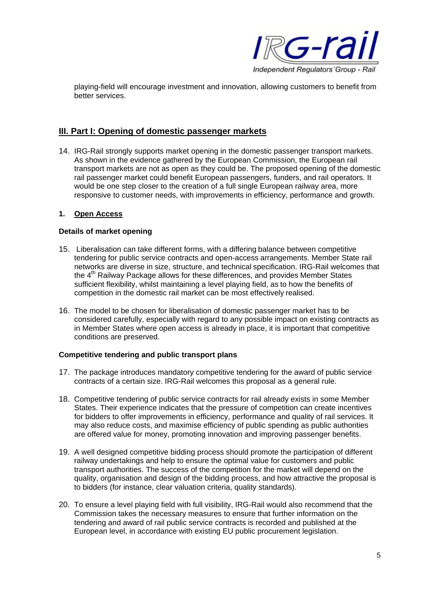

playing-field will encourage investment and innovation, allowing customers to benefit from better services.

## **III. Part I: Opening of domestic passenger markets**

14. IRG-Rail strongly supports market opening in the domestic passenger transport markets. As shown in the evidence gathered by the European Commission, the European rail transport markets are not as open as they could be. The proposed opening of the domestic rail passenger market could benefit European passengers, funders, and rail operators. It would be one step closer to the creation of a full single European railway area, more responsive to customer needs, with improvements in efficiency, performance and growth.

#### **1. Open Access**

#### **Details of market opening**

- 15. Liberalisation can take different forms, with a differing balance between competitive tendering for public service contracts and open-access arrangements. Member State rail networks are diverse in size, structure, and technical specification. IRG-Rail welcomes that the 4<sup>th</sup> Railway Package allows for these differences, and provides Member States sufficient flexibility, whilst maintaining a level playing field, as to how the benefits of competition in the domestic rail market can be most effectively realised.
- 16. The model to be chosen for liberalisation of domestic passenger market has to be considered carefully, especially with regard to any possible impact on existing contracts as in Member States where open access is already in place, it is important that competitive conditions are preserved.

### **Competitive tendering and public transport plans**

- 17. The package introduces mandatory competitive tendering for the award of public service contracts of a certain size. IRG-Rail welcomes this proposal as a general rule.
- 18. Competitive tendering of public service contracts for rail already exists in some Member States. Their experience indicates that the pressure of competition can create incentives for bidders to offer improvements in efficiency, performance and quality of rail services. It may also reduce costs, and maximise efficiency of public spending as public authorities are offered value for money, promoting innovation and improving passenger benefits.
- 19. A well designed competitive bidding process should promote the participation of different railway undertakings and help to ensure the optimal value for customers and public transport authorities. The success of the competition for the market will depend on the quality, organisation and design of the bidding process, and how attractive the proposal is to bidders (for instance, clear valuation criteria, quality standards).
- 20. To ensure a level playing field with full visibility, IRG-Rail would also recommend that the Commission takes the necessary measures to ensure that further information on the tendering and award of rail public service contracts is recorded and published at the European level, in accordance with existing EU public procurement legislation.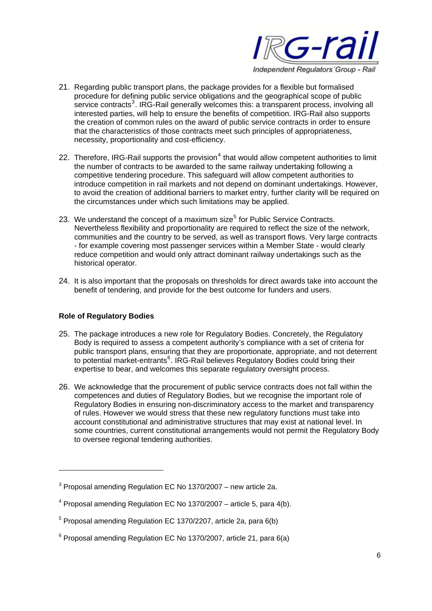

- 21. Regarding public transport plans, the package provides for a flexible but formalised procedure for defining public service obligations and the geographical scope of public  $\overline{\phantom{a}}$  service contracts<sup>[3](#page-5-0)</sup>. IRG-Rail generally welcomes this: a transparent process, involving all interested parties, will help to ensure the benefits of competition. IRG-Rail also supports the creation of common rules on the award of public service contracts in order to ensure that the characteristics of those contracts meet such principles of appropriateness, necessity, proportionality and cost-efficiency.
- 22. Therefore, IRG-Rail supports the provision<sup>[4](#page-5-1)</sup> that would allow competent authorities to limit the number of contracts to be awarded to the same railway undertaking following a competitive tendering procedure. This safeguard will allow competent authorities to introduce competition in rail markets and not depend on dominant undertakings. However, to avoid the creation of additional barriers to market entry, further clarity will be required on the circumstances under which such limitations may be applied.
- 23. We understand the concept of a maximum size<sup>[5](#page-5-2)</sup> for Public Service Contracts. Nevertheless flexibility and proportionality are required to reflect the size of the network, communities and the country to be served, as well as transport flows. Very large contracts - for example covering most passenger services within a Member State - would clearly reduce competition and would only attract dominant railway undertakings such as the historical operator.
- 24. It is also important that the proposals on thresholds for direct awards take into account the benefit of tendering, and provide for the best outcome for funders and users.

### **Role of Regulatory Bodies**

- 25. The package introduces a new role for Regulatory Bodies. Concretely, the Regulatory Body is required to assess a competent authority's compliance with a set of criteria for public transport plans, ensuring that they are proportionate, appropriate, and not deterrent to potential market-entrants<sup>[6](#page-5-3)</sup>. IRG-Rail believes Regulatory Bodies could bring their expertise to bear, and welcomes this separate regulatory oversight process.
- 26. We acknowledge that the procurement of public service contracts does not fall within the competences and duties of Regulatory Bodies, but we recognise the important role of Regulatory Bodies in ensuring non-discriminatory access to the market and transparency of rules. However we would stress that these new regulatory functions must take into account constitutional and administrative structures that may exist at national level. In some countries, current constitutional arrangements would not permit the Regulatory Body to oversee regional tendering authorities.

<span id="page-5-0"></span> $3$  Proposal amending Regulation EC No 1370/2007 – new article 2a.

<span id="page-5-1"></span> $4$  Proposal amending Regulation EC No 1370/2007 – article 5, para 4(b).

<span id="page-5-2"></span> $5$  Proposal amending Regulation EC 1370/2207, article 2a, para 6(b)

<span id="page-5-3"></span> $6$  Proposal amending Regulation EC No 1370/2007, article 21, para 6(a)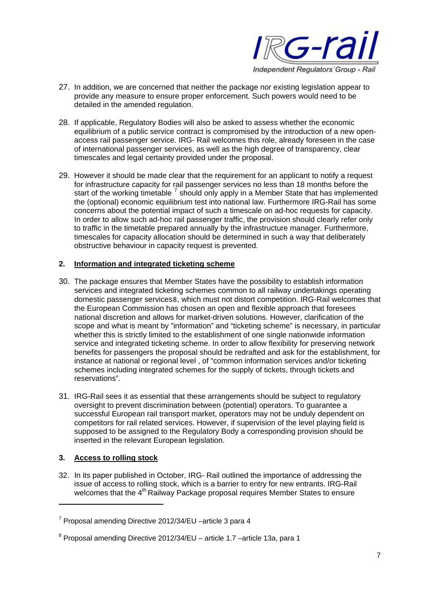

- 27. In addition, we are concerned that neither the package nor existing legislation appear to provide any measure to ensure proper enforcement. Such powers would need to be detailed in the amended regulation.
- 28. If applicable, Regulatory Bodies will also be asked to assess whether the economic equilibrium of a public service contract is compromised by the introduction of a new openaccess rail passenger service. IRG- Rail welcomes this role, already foreseen in the case of international passenger services, as well as the high degree of transparency, clear timescales and legal certainty provided under the proposal.
- 29. However it should be made clear that the requirement for an applicant to notify a request for infrastructure capacity for rail passenger services no less than 18 months before the start of the working timetable  $<sup>7</sup>$  $<sup>7</sup>$  $<sup>7</sup>$  should only apply in a Member State that has implemented</sup> the (optional) economic equilibrium test into national law. Furthermore IRG-Rail has some concerns about the potential impact of such a timescale on ad-hoc requests for capacity. In order to allow such ad-hoc rail passenger traffic, the provision should clearly refer only to traffic in the timetable prepared annually by the infrastructure manager. Furthermore, timescales for capacity allocation should be determined in such a way that deliberately obstructive behaviour in capacity request is prevented.

## **2. Information and integrated ticketing scheme**

- 30. The package ensures that Member States have the possibility to establish information services and integrated ticketing schemes common to all railway undertakings operating domestic passenger services[8](#page-6-1), which must not distort competition. IRG-Rail welcomes that the European Commission has chosen an open and flexible approach that foresees national discretion and allows for market-driven solutions. However, clarification of the scope and what is meant by "information" and "ticketing scheme" is necessary, in particular whether this is strictly limited to the establishment of one single nationwide information service and integrated ticketing scheme. In order to allow flexibility for preserving network benefits for passengers the proposal should be redrafted and ask for the establishment, for instance at national or regional level , of "common information services and/or ticketing schemes including integrated schemes for the supply of tickets, through tickets and reservations".
- 31. IRG-Rail sees it as essential that these arrangements should be subject to regulatory oversight to prevent discrimination between (potential) operators. To guarantee a successful European rail transport market, operators may not be unduly dependent on competitors for rail related services. However, if supervision of the level playing field is supposed to be assigned to the Regulatory Body a corresponding provision should be inserted in the relevant European legislation.

### **3. Access to rolling stock**

 $\overline{a}$ 

32. In its paper published in October, IRG- Rail outlined the importance of addressing the issue of access to rolling stock, which is a barrier to entry for new entrants. IRG-Rail welcomes that the 4<sup>th</sup> Railway Package proposal requires Member States to ensure

<span id="page-6-0"></span><sup>&</sup>lt;sup>7</sup> Proposal amending Directive 2012/34/EU –article 3 para 4

<span id="page-6-1"></span> $8$  Proposal amending Directive 2012/34/EU – article 1.7 –article 13a, para 1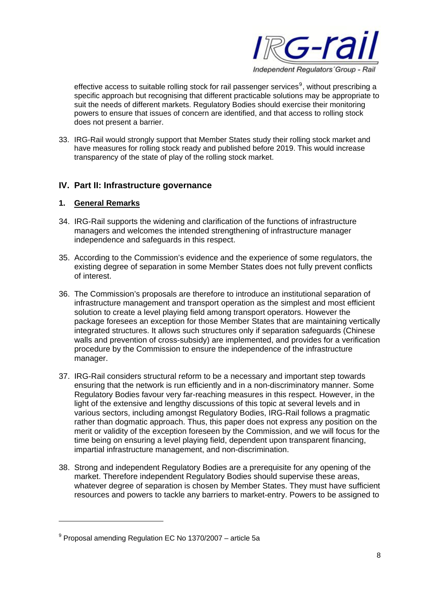

effective access to suitable rolling stock for rail passenger services<sup>9</sup>, without prescribing a specific approach but recognising that different practicable solutions may be appropriate to suit the needs of different markets. Regulatory Bodies should exercise their monitoring powers to ensure that issues of concern are identified, and that access to rolling stock does not present a barrier.

33. IRG-Rail would strongly support that Member States study their rolling stock market and have measures for rolling stock ready and published before 2019. This would increase transparency of the state of play of the rolling stock market.

## **IV. Part II: Infrastructure governance**

### **1. General Remarks**

- 34. IRG-Rail supports the widening and clarification of the functions of infrastructure managers and welcomes the intended strengthening of infrastructure manager independence and safeguards in this respect.
- 35. According to the Commission's evidence and the experience of some regulators, the existing degree of separation in some Member States does not fully prevent conflicts of interest.
- 36. The Commission's proposals are therefore to introduce an institutional separation of infrastructure management and transport operation as the simplest and most efficient solution to create a level playing field among transport operators. However the package foresees an exception for those Member States that are maintaining vertically integrated structures. It allows such structures only if separation safeguards (Chinese walls and prevention of cross-subsidy) are implemented, and provides for a verification procedure by the Commission to ensure the independence of the infrastructure manager.
- 37. IRG-Rail considers structural reform to be a necessary and important step towards ensuring that the network is run efficiently and in a non-discriminatory manner. Some Regulatory Bodies favour very far-reaching measures in this respect. However, in the light of the extensive and lengthy discussions of this topic at several levels and in various sectors, including amongst Regulatory Bodies, IRG-Rail follows a pragmatic rather than dogmatic approach. Thus, this paper does not express any position on the merit or validity of the exception foreseen by the Commission, and we will focus for the time being on ensuring a level playing field, dependent upon transparent financing, impartial infrastructure management, and non-discrimination.
- 38. Strong and independent Regulatory Bodies are a prerequisite for any opening of the market. Therefore independent Regulatory Bodies should supervise these areas, whatever degree of separation is chosen by Member States. They must have sufficient resources and powers to tackle any barriers to market-entry. Powers to be assigned to

 $9$  Proposal amending Regulation EC No 1370/2007 – article 5a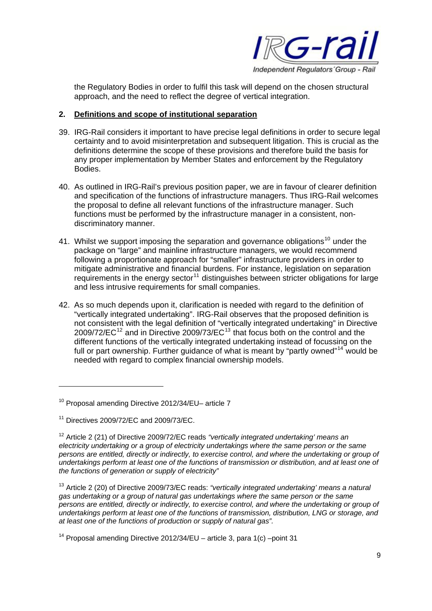

the Regulatory Bodies in order to fulfil this task will depend on the chosen structural approach, and the need to reflect the degree of vertical integration.

#### **2. Definitions and scope of institutional separation**

- 39. IRG-Rail considers it important to have precise legal definitions in order to secure legal certainty and to avoid misinterpretation and subsequent litigation. This is crucial as the definitions determine the scope of these provisions and therefore build the basis for any proper implementation by Member States and enforcement by the Regulatory Bodies.
- 40. As outlined in IRG-Rail's previous position paper, we are in favour of clearer definition and specification of the functions of infrastructure managers. Thus IRG-Rail welcomes the proposal to define all relevant functions of the infrastructure manager. Such functions must be performed by the infrastructure manager in a consistent, nondiscriminatory manner.
- 41. Whilst we support imposing the separation and governance obligations<sup>[10](#page-8-0)</sup> under the package on "large" and mainline infrastructure managers, we would recommend following a proportionate approach for "smaller" infrastructure providers in order to mitigate administrative and financial burdens. For instance, legislation on separation requirements in the energy sector<sup>[11](#page-8-1)</sup> distinguishes between stricter obligations for large and less intrusive requirements for small companies.
- 42. As so much depends upon it, clarification is needed with regard to the definition of "vertically integrated undertaking". IRG-Rail observes that the proposed definition is not consistent with the legal definition of "vertically integrated undertaking" in Directive  $2009/72/EC^{12}$  $2009/72/EC^{12}$  $2009/72/EC^{12}$  and in Directive 2009/73/EC<sup>[13](#page-8-3)</sup> that focus both on the control and the different functions of the vertically integrated undertaking instead of focussing on the full or part ownership. Further guidance of what is meant by "partly owned"<sup>[14](#page-8-4)</sup> would be needed with regard to complex financial ownership models.

<span id="page-8-0"></span><sup>10</sup> Proposal amending Directive 2012/34/EU– article 7

<span id="page-8-1"></span><sup>11</sup> Directives 2009/72/EC and 2009/73/EC.

<span id="page-8-2"></span><sup>12</sup> Article 2 (21) of Directive 2009/72/EC reads *"vertically integrated undertaking' means an electricity undertaking or a group of electricity undertakings where the same person or the same persons are entitled, directly or indirectly, to exercise control, and where the undertaking or group of undertakings perform at least one of the functions of transmission or distribution, and at least one of the functions of generation or supply of electricity"*

<span id="page-8-3"></span><sup>13</sup> Article 2 (20) of Directive 2009/73/EC reads: *"vertically integrated undertaking' means a natural gas undertaking or a group of natural gas undertakings where the same person or the same persons are entitled, directly or indirectly, to exercise control, and where the undertaking or group of undertakings perform at least one of the functions of transmission, distribution, LNG or storage, and at least one of the functions of production or supply of natural gas".*

<span id="page-8-4"></span><sup>&</sup>lt;sup>14</sup> Proposal amending Directive 2012/34/EU – article 3, para 1(c) –point 31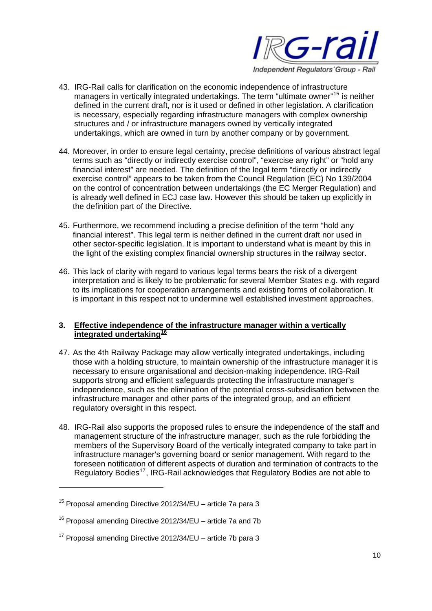

- 43. IRG-Rail calls for clarification on the economic independence of infrastructure managers in vertically integrated undertakings. The term "ultimate owner"<sup>[15](#page-9-0)</sup> is neither defined in the current draft, nor is it used or defined in other legislation. A clarification is necessary, especially regarding infrastructure managers with complex ownership structures and / or infrastructure managers owned by vertically integrated undertakings, which are owned in turn by another company or by government.
- 44. Moreover, in order to ensure legal certainty, precise definitions of various abstract legal terms such as "directly or indirectly exercise control", "exercise any right" or "hold any financial interest" are needed. The definition of the legal term "directly or indirectly exercise control" appears to be taken from the Council Regulation (EC) No 139/2004 on the control of concentration between undertakings (the EC Merger Regulation) and is already well defined in ECJ case law. However this should be taken up explicitly in the definition part of the Directive.
- 45. Furthermore, we recommend including a precise definition of the term "hold any financial interest". This legal term is neither defined in the current draft nor used in other sector-specific legislation. It is important to understand what is meant by this in the light of the existing complex financial ownership structures in the railway sector.
- 46. This lack of clarity with regard to various legal terms bears the risk of a divergent interpretation and is likely to be problematic for several Member States e.g. with regard to its implications for cooperation arrangements and existing forms of collaboration. It is important in this respect not to undermine well established investment approaches.

## **3. Effective independence of the infrastructure manager within a vertically integrated undertaking[16](#page-9-1)**

- 47. As the 4th Railway Package may allow vertically integrated undertakings, including those with a holding structure, to maintain ownership of the infrastructure manager it is necessary to ensure organisational and decision-making independence. IRG-Rail supports strong and efficient safeguards protecting the infrastructure manager's independence, such as the elimination of the potential cross-subsidisation between the infrastructure manager and other parts of the integrated group, and an efficient regulatory oversight in this respect.
- 48. IRG-Rail also supports the proposed rules to ensure the independence of the staff and management structure of the infrastructure manager, such as the rule forbidding the members of the Supervisory Board of the vertically integrated company to take part in infrastructure manager's governing board or senior management. With regard to the foreseen notification of different aspects of duration and termination of contracts to the Regulatory Bodies<sup>[17](#page-9-2)</sup>, IRG-Rail acknowledges that Regulatory Bodies are not able to

<span id="page-9-0"></span><sup>15</sup> Proposal amending Directive 2012/34/EU – article 7a para 3

<span id="page-9-1"></span><sup>16</sup> Proposal amending Directive 2012/34/EU – article 7a and 7b

<span id="page-9-2"></span> $17$  Proposal amending Directive 2012/34/EU – article 7b para 3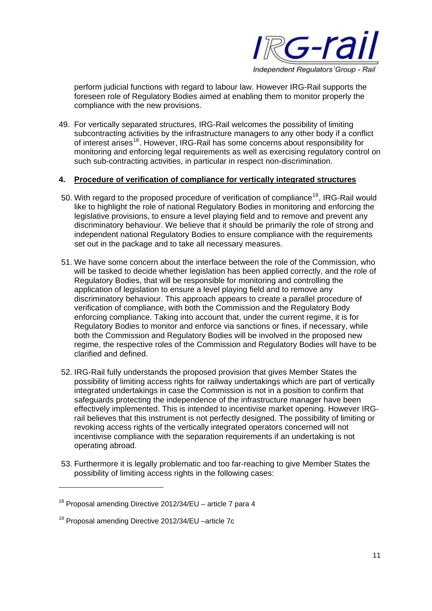

perform judicial functions with regard to labour law. However IRG-Rail supports the foreseen role of Regulatory Bodies aimed at enabling them to monitor properly the compliance with the new provisions.

49. For vertically separated structures, IRG-Rail welcomes the possibility of limiting subcontracting activities by the infrastructure managers to any other body if a conflict of interest arises[18](#page-10-0). However, IRG-Rail has some concerns about responsibility for monitoring and enforcing legal requirements as well as exercising regulatory control on such sub-contracting activities, in particular in respect non-discrimination.

#### **4. Procedure of verification of compliance for vertically integrated structures**

- 50. With regard to the proposed procedure of verification of compliance<sup>[19](#page-10-1)</sup>, IRG-Rail would like to highlight the role of national Regulatory Bodies in monitoring and enforcing the legislative provisions, to ensure a level playing field and to remove and prevent any discriminatory behaviour. We believe that it should be primarily the role of strong and independent national Regulatory Bodies to ensure compliance with the requirements set out in the package and to take all necessary measures.
- 51. We have some concern about the interface between the role of the Commission, who will be tasked to decide whether legislation has been applied correctly, and the role of Regulatory Bodies, that will be responsible for monitoring and controlling the application of legislation to ensure a level playing field and to remove any discriminatory behaviour. This approach appears to create a parallel procedure of verification of compliance, with both the Commission and the Regulatory Body enforcing compliance. Taking into account that, under the current regime, it is for Regulatory Bodies to monitor and enforce via sanctions or fines, if necessary, while both the Commission and Regulatory Bodies will be involved in the proposed new regime, the respective roles of the Commission and Regulatory Bodies will have to be clarified and defined.
- 52. IRG-Rail fully understands the proposed provision that gives Member States the possibility of limiting access rights for railway undertakings which are part of vertically integrated undertakings in case the Commission is not in a position to confirm that safeguards protecting the independence of the infrastructure manager have been effectively implemented. This is intended to incentivise market opening. However IRGrail believes that this instrument is not perfectly designed. The possibility of limiting or revoking access rights of the vertically integrated operators concerned will not incentivise compliance with the separation requirements if an undertaking is not operating abroad.
- 53. Furthermore it is legally problematic and too far-reaching to give Member States the possibility of limiting access rights in the following cases:

<span id="page-10-0"></span> $18$  Proposal amending Directive 2012/34/EU – article 7 para 4

<span id="page-10-1"></span><sup>19</sup> Proposal amending Directive 2012/34/EU –article 7c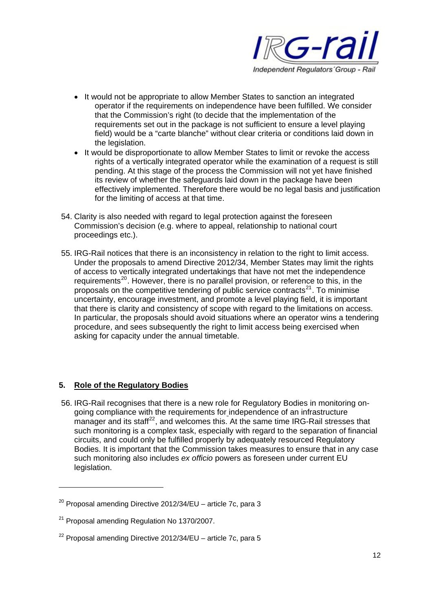

- It would not be appropriate to allow Member States to sanction an integrated operator if the requirements on independence have been fulfilled. We consider that the Commission's right (to decide that the implementation of the requirements set out in the package is not sufficient to ensure a level playing field) would be a "carte blanche" without clear criteria or conditions laid down in the legislation.
- It would be disproportionate to allow Member States to limit or revoke the access rights of a vertically integrated operator while the examination of a request is still pending. At this stage of the process the Commission will not yet have finished its review of whether the safeguards laid down in the package have been effectively implemented. Therefore there would be no legal basis and justification for the limiting of access at that time.
- 54. Clarity is also needed with regard to legal protection against the foreseen Commission's decision (e.g. where to appeal, relationship to national court proceedings etc.).
- 55. IRG-Rail notices that there is an inconsistency in relation to the right to limit access. Under the proposals to amend Directive 2012/34, Member States may limit the rights of access to vertically integrated undertakings that have not met the independence requirements<sup>[20](#page-11-0)</sup>. However, there is no parallel provision, or reference to this, in the proposals on the competitive tendering of public service contracts $^{21}$  $^{21}$  $^{21}$ . To minimise uncertainty, encourage investment, and promote a level playing field, it is important that there is clarity and consistency of scope with regard to the limitations on access. In particular, the proposals should avoid situations where an operator wins a tendering procedure, and sees subsequently the right to limit access being exercised when asking for capacity under the annual timetable.

## **5. Role of the Regulatory Bodies**

56. IRG-Rail recognises that there is a new role for Regulatory Bodies in monitoring ongoing compliance with the requirements for independence of an infrastructure  $m$ anager and its staff<sup>[22](#page-11-2)</sup>, and welcomes this. At the same time IRG-Rail stresses that such monitoring is a complex task, especially with regard to the separation of financial circuits, and could only be fulfilled properly by adequately resourced Regulatory Bodies. It is important that the Commission takes measures to ensure that in any case such monitoring also includes *ex officio* powers as foreseen under current EU legislation.

<span id="page-11-0"></span> $20$  Proposal amending Directive 2012/34/EU – article 7c, para 3

<span id="page-11-1"></span><sup>&</sup>lt;sup>21</sup> Proposal amending Regulation No 1370/2007.

<span id="page-11-2"></span> $22$  Proposal amending Directive 2012/34/EU – article 7c, para 5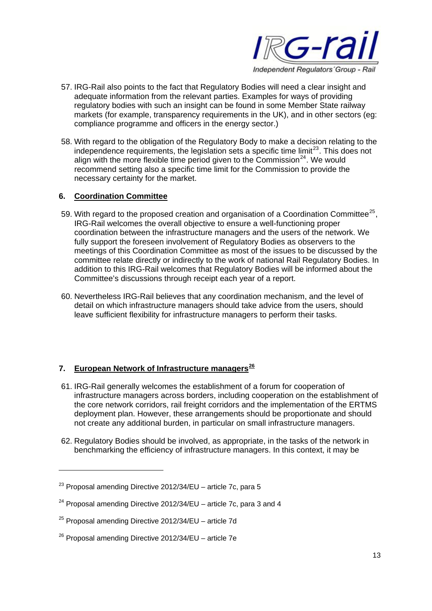

- 57. IRG-Rail also points to the fact that Regulatory Bodies will need a clear insight and adequate information from the relevant parties. Examples for ways of providing regulatory bodies with such an insight can be found in some Member State railway markets (for example, transparency requirements in the UK), and in other sectors (eg: compliance programme and officers in the energy sector.)
- 58. With regard to the obligation of the Regulatory Body to make a decision relating to the independence requirements, the legislation sets a specific time limit $^{23}$  $^{23}$  $^{23}$ . This does not align with the more flexible time period given to the Commission<sup>[24](#page-12-1)</sup>. We would recommend setting also a specific time limit for the Commission to provide the necessary certainty for the market.

### **6. Coordination Committee**

- 59. With regard to the proposed creation and organisation of a Coordination Committee<sup>[25](#page-12-2)</sup>. IRG-Rail welcomes the overall objective to ensure a well-functioning proper coordination between the infrastructure managers and the users of the network. We fully support the foreseen involvement of Regulatory Bodies as observers to the meetings of this Coordination Committee as most of the issues to be discussed by the committee relate directly or indirectly to the work of national Rail Regulatory Bodies. In addition to this IRG-Rail welcomes that Regulatory Bodies will be informed about the Committee's discussions through receipt each year of a report.
- 60. Nevertheless IRG-Rail believes that any coordination mechanism, and the level of detail on which infrastructure managers should take advice from the users, should leave sufficient flexibility for infrastructure managers to perform their tasks.

## **7. European Network of Infrastructure managers[26](#page-12-3)**

- 61. IRG-Rail generally welcomes the establishment of a forum for cooperation of infrastructure managers across borders, including cooperation on the establishment of the core network corridors, rail freight corridors and the implementation of the ERTMS deployment plan. However, these arrangements should be proportionate and should not create any additional burden, in particular on small infrastructure managers.
- 62. Regulatory Bodies should be involved, as appropriate, in the tasks of the network in benchmarking the efficiency of infrastructure managers. In this context, it may be

<span id="page-12-0"></span> $^{23}$  Proposal amending Directive 2012/34/EU – article 7c, para 5

<span id="page-12-1"></span> $24$  Proposal amending Directive 2012/34/EU – article 7c, para 3 and 4

<span id="page-12-2"></span> $25$  Proposal amending Directive 2012/34/EU – article 7d

<span id="page-12-3"></span> $26$  Proposal amending Directive 2012/34/EU – article 7e